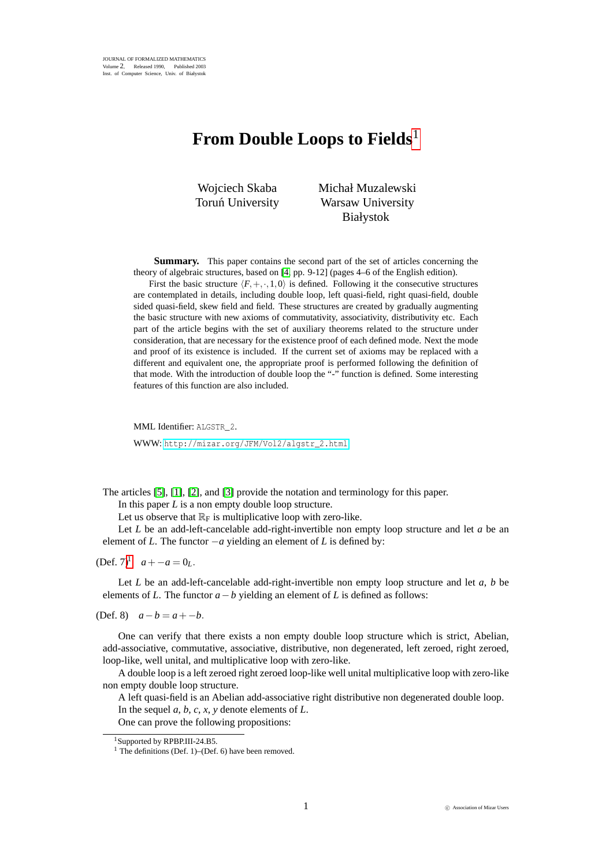## **From Double Loops to Fields**<sup>1</sup>

Wojciech Skaba Toruń University Michał Muzalewski Warsaw University Białystok

**Summary.** This paper contains the second part of the set of articles concerning the theory of algebraic structures, based on [\[4,](#page-2-0) pp. 9-12] (pages 4–6 of the English edition).

First the basic structure  $\langle F, +, \cdot, 1, 0 \rangle$  is defined. Following it the consecutive structures are contemplated in details, including double loop, left quasi-field, right quasi-field, double sided quasi-field, skew field and field. These structures are created by gradually augmenting the basic structure with new axioms of commutativity, associativity, distributivity etc. Each part of the article begins with the set of auxiliary theorems related to the structure under consideration, that are necessary for the existence proof of each defined mode. Next the mode and proof of its existence is included. If the current set of axioms may be replaced with a different and equivalent one, the appropriate proof is performed following the definition of that mode. With the introduction of double loop the "-" function is defined. Some interesting features of this function are also included.

MML Identifier: ALGSTR\_2. WWW: [http://mizar.org/JFM/Vol2/algstr\\_2.html](http://mizar.org/JFM/Vol2/algstr_2.html)

The articles [\[5\]](#page-2-1), [\[1\]](#page-2-2), [\[2\]](#page-2-3), and [\[3\]](#page-2-4) provide the notation and terminology for this paper.

In this paper *L* is a non empty double loop structure.

Let us observe that  $\mathbb{R}_F$  is multiplicative loop with zero-like.

Let *L* be an add-left-cancelable add-right-invertible non empty loop structure and let *a* be an element of *L*. The functor −*a* yielding an element of *L* is defined by:

 $(Def, 7)^1$  $(Def, 7)^1$  *a* + − *a* = 0*i*.

Let *L* be an add-left-cancelable add-right-invertible non empty loop structure and let *a*, *b* be elements of *L*. The functor  $a - b$  yielding an element of *L* is defined as follows:

(Def. 8)  $a - b = a - b$ .

One can verify that there exists a non empty double loop structure which is strict, Abelian, add-associative, commutative, associative, distributive, non degenerated, left zeroed, right zeroed, loop-like, well unital, and multiplicative loop with zero-like.

A double loop is a left zeroed right zeroed loop-like well unital multiplicative loop with zero-like non empty double loop structure.

A left quasi-field is an Abelian add-associative right distributive non degenerated double loop. In the sequel *a*, *b*, *c*, *x*, *y* denote elements of *L*.

One can prove the following propositions:

<sup>&</sup>lt;sup>1</sup>Supported by RPBP.III-24.B5.

<span id="page-0-0"></span> $<sup>1</sup>$  The definitions (Def. 1)–(Def. 6) have been removed.</sup>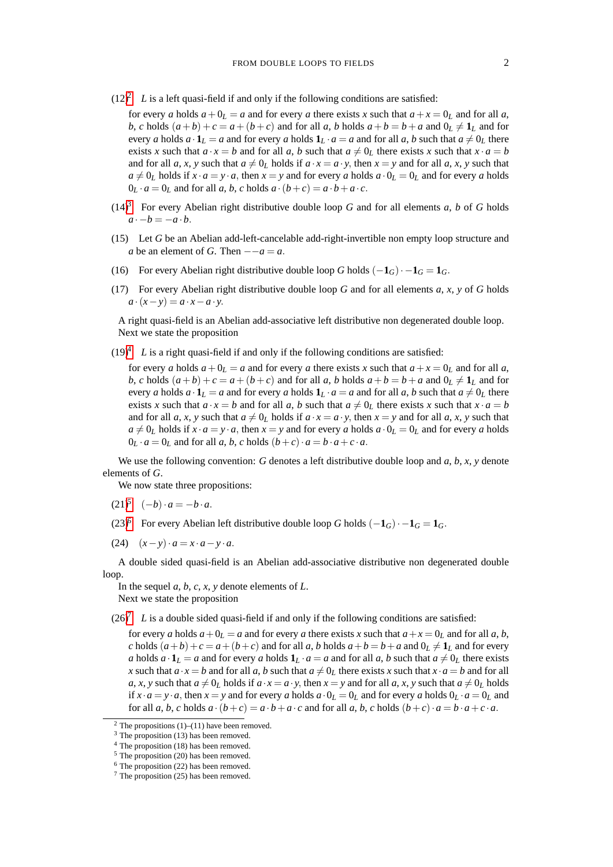$(12)^2$  $(12)^2$  $(12)^2$  *L* is a left quasi-field if and only if the following conditions are satisfied:

for every *a* holds  $a + 0<sub>L</sub> = a$  and for every *a* there exists *x* such that  $a + x = 0<sub>L</sub>$  and for all *a*, *b*, *c* holds  $(a + b) + c = a + (b + c)$  and for all *a*, *b* holds  $a + b = b + a$  and  $0_L \neq 1_L$  and for every *a* holds  $a \cdot \mathbf{1}_L = a$  and for every *a* holds  $\mathbf{1}_L \cdot a = a$  and for all *a*, *b* such that  $a \neq 0_L$  there exists *x* such that  $a \cdot x = b$  and for all *a*, *b* such that  $a \neq 0_L$  there exists *x* such that  $x \cdot a = b$ and for all *a*, *x*, *y* such that  $a \neq 0_L$  holds if  $a \cdot x = a \cdot y$ , then  $x = y$  and for all *a*, *x*, *y* such that  $a \neq 0_L$  holds if  $x \cdot a = y \cdot a$ , then  $x = y$  and for every *a* holds  $a \cdot 0_L = 0_L$  and for every *a* holds  $0_L \cdot a = 0_L$  and for all *a*, *b*, *c* holds  $a \cdot (b + c) = a \cdot b + a \cdot c$ .

- (14)<sup>[3](#page-1-1)</sup> For every Abelian right distributive double loop *G* and for all elements *a*, *b* of *G* holds  $a \cdot -b = -a \cdot b$ .
- (15) Let *G* be an Abelian add-left-cancelable add-right-invertible non empty loop structure and *a* be an element of *G*. Then  $-\alpha = a$ .
- (16) For every Abelian right distributive double loop *G* holds  $(-1_G) \cdot -1_G = 1_G$ .
- (17) For every Abelian right distributive double loop *G* and for all elements *a*, *x*, *y* of *G* holds  $a \cdot (x - y) = a \cdot x - a \cdot y$ .

A right quasi-field is an Abelian add-associative left distributive non degenerated double loop. Next we state the proposition

 $(19)^4$  $(19)^4$  *L* is a right quasi-field if and only if the following conditions are satisfied:

for every *a* holds  $a + 0<sub>L</sub> = a$  and for every *a* there exists *x* such that  $a + x = 0<sub>L</sub>$  and for all *a*, *b*, *c* holds  $(a + b) + c = a + (b + c)$  and for all *a*, *b* holds  $a + b = b + a$  and  $0_L \neq 1_L$  and for every *a* holds  $a \cdot \mathbf{1}_L = a$  and for every *a* holds  $\mathbf{1}_L \cdot a = a$  and for all *a*, *b* such that  $a \neq 0_L$  there exists *x* such that  $a \cdot x = b$  and for all *a*, *b* such that  $a \neq 0_L$  there exists *x* such that  $x \cdot a = b$ and for all *a*, *x*, *y* such that  $a \neq 0_L$  holds if  $a \cdot x = a \cdot y$ , then  $x = y$  and for all *a*, *x*, *y* such that  $a \neq 0_L$  holds if  $x \cdot a = y \cdot a$ , then  $x = y$  and for every *a* holds  $a \cdot 0_L = 0_L$  and for every *a* holds  $0_L \cdot a = 0_L$  and for all *a*, *b*, *c* holds  $(b+c) \cdot a = b \cdot a + c \cdot a$ .

We use the following convention: *G* denotes a left distributive double loop and *a*, *b*, *x*, *y* denote elements of *G*.

We now state three propositions:

- $(21)^5$  $(21)^5$   $(-b) \cdot a = -b \cdot a$ .
- (23)<sup>[6](#page-1-4)</sup> For every Abelian left distributive double loop *G* holds  $(-1_G) \cdot -1_G = 1_G$ .
- (24)  $(x-y) \cdot a = x \cdot a y \cdot a$ .

A double sided quasi-field is an Abelian add-associative distributive non degenerated double loop.

In the sequel  $a, b, c, x, y$  denote elements of  $L$ . Next we state the proposition

 $(26)^7$  $(26)^7$  *L* is a double sided quasi-field if and only if the following conditions are satisfied:

for every *a* holds  $a + 0<sub>L</sub> = a$  and for every *a* there exists *x* such that  $a + x = 0<sub>L</sub>$  and for all *a*, *b*, *c* holds  $(a+b)+c = a + (b+c)$  and for all *a*, *b* holds  $a+b = b+a$  and  $0_L \neq 1_L$  and for every *a* holds  $a \cdot \mathbf{1}_L = a$  and for every *a* holds  $\mathbf{1}_L \cdot a = a$  and for all *a*, *b* such that  $a \neq 0_L$  there exists *x* such that  $a \cdot x = b$  and for all *a*, *b* such that  $a \neq 0_L$  there exists *x* such that  $x \cdot a = b$  and for all *a*, *x*, *y* such that  $a \neq 0$ *L* holds if  $a \cdot x = a \cdot y$ , then  $x = y$  and for all  $a, x, y$  such that  $a \neq 0$ *L* holds if  $x \cdot a = y \cdot a$ , then  $x = y$  and for every *a* holds  $a \cdot 0_L = 0_L$  and for every *a* holds  $0_L \cdot a = 0_L$  and for all a, b, c holds  $a \cdot (b+c) = a \cdot b + a \cdot c$  and for all a, b, c holds  $(b+c) \cdot a = b \cdot a + c \cdot a$ .

<span id="page-1-0"></span> $2$  The propositions (1)–(11) have been removed.

<span id="page-1-1"></span> $3$  The proposition (13) has been removed.

<span id="page-1-2"></span>The proposition (18) has been removed.

<span id="page-1-3"></span><sup>5</sup> The proposition (20) has been removed.

<span id="page-1-4"></span> $6$  The proposition (22) has been removed.

<span id="page-1-5"></span><sup>7</sup> The proposition (25) has been removed.